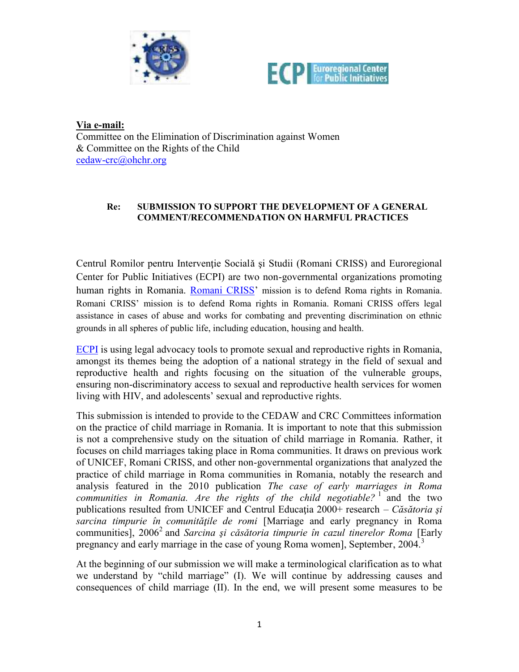



**Via e-mail:**

Committee on the Elimination of Discrimination against Women & Committee on the Rights of the Child cedaw-crc@ohchr.org

#### **Re: SUBMISSION TO SUPPORT THE DEVELOPMENT OF A GENERAL COMMENT/RECOMMENDATION ON HARMFUL PRACTICES**

Centrul Romilor pentru Intervenţie Socialǎ şi Studii (Romani CRISS) and Euroregional Center for Public Initiatives (ECPI) are two non-governmental organizations promoting human rights in Romania. Romani CRISS' mission is to defend Roma rights in Romania. Romani CRISS' mission is to defend Roma rights in Romania. Romani CRISS offers legal assistance in cases of abuse and works for combating and preventing discrimination on ethnic grounds in all spheres of public life, including education, housing and health.

ECPI is using legal advocacy tools to promote sexual and reproductive rights in Romania, amongst its themes being the adoption of a national strategy in the field of sexual and reproductive health and rights focusing on the situation of the vulnerable groups, ensuring non-discriminatory access to sexual and reproductive health services for women living with HIV, and adolescents' sexual and reproductive rights.

This submission is intended to provide to the CEDAW and CRC Committees information on the practice of child marriage in Romania. It is important to note that this submission is not a comprehensive study on the situation of child marriage in Romania. Rather, it focuses on child marriages taking place in Roma communities. It draws on previous work of UNICEF, Romani CRISS, and other non-governmental organizations that analyzed the practice of child marriage in Roma communities in Romania, notably the research and analysis featured in the 2010 publication *The case of early marriages in Roma communities in Romania. Are the rights of the child negotiable?* <sup>1</sup> and the two publications resulted from UNICEF and Centrul Educația 2000+ research – Căsătoria și *sarcina timpurie în comunităţile de romi* [Marriage and early pregnancy in Roma communities], 2006<sup>2</sup> and *Sarcina şi cǎsǎtoria timpurie în cazul tinerelor Roma* [Early pregnancy and early marriage in the case of young Roma women], September, 2004.<sup>3</sup>

At the beginning of our submission we will make a terminological clarification as to what we understand by "child marriage" (I). We will continue by addressing causes and consequences of child marriage (II). In the end, we will present some measures to be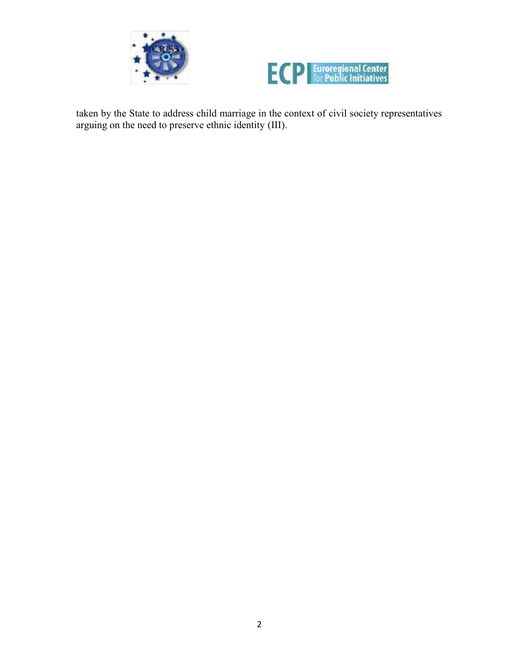



taken by the State to address child marriage in the context of civil society representatives arguing on the need to preserve ethnic identity (III).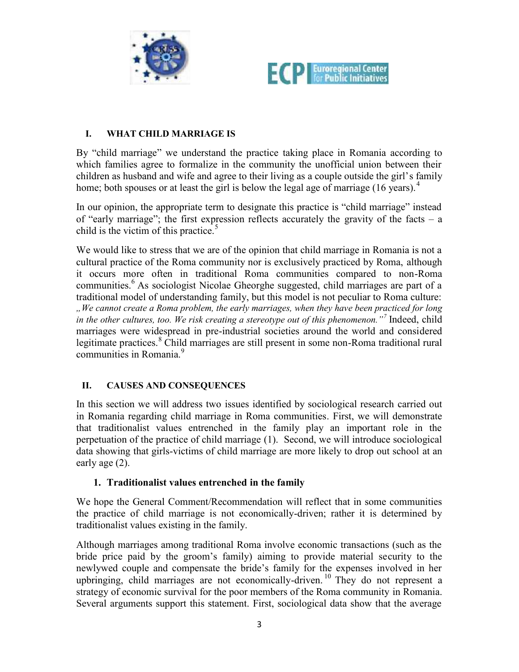



## **I. WHAT CHILD MARRIAGE IS**

By "child marriage" we understand the practice taking place in Romania according to which families agree to formalize in the community the unofficial union between their children as husband and wife and agree to their living as a couple outside the girl's family home; both spouses or at least the girl is below the legal age of marriage (16 years).<sup>4</sup>

In our opinion, the appropriate term to designate this practice is "child marriage" instead of "early marriage"; the first expression reflects accurately the gravity of the facts – a child is the victim of this practice.<sup>5</sup>

We would like to stress that we are of the opinion that child marriage in Romania is not a cultural practice of the Roma community nor is exclusively practiced by Roma, although it occurs more often in traditional Roma communities compared to non-Roma communities.<sup>6</sup> As sociologist Nicolae Gheorghe suggested, child marriages are part of a traditional model of understanding family, but this model is not peculiar to Roma culture: *"We cannot create a Roma problem, the early marriages, when they have been practiced for long in the other cultures, too. We risk creating a stereotype out of this phenomenon."<sup>7</sup>* Indeed, child marriages were widespread in pre-industrial societies around the world and considered legitimate practices.<sup>8</sup> Child marriages are still present in some non-Roma traditional rural communities in Romania<sup>9</sup>

### **II. CAUSES AND CONSEQUENCES**

In this section we will address two issues identified by sociological research carried out in Romania regarding child marriage in Roma communities. First, we will demonstrate that traditionalist values entrenched in the family play an important role in the perpetuation of the practice of child marriage (1). Second, we will introduce sociological data showing that girls-victims of child marriage are more likely to drop out school at an early age (2).

### **1. Traditionalist values entrenched in the family**

We hope the General Comment/Recommendation will reflect that in some communities the practice of child marriage is not economically-driven; rather it is determined by traditionalist values existing in the family.

Although marriages among traditional Roma involve economic transactions (such as the bride price paid by the groom's family) aiming to provide material security to the newlywed couple and compensate the bride's family for the expenses involved in her upbringing, child marriages are not economically-driven. <sup>10</sup> They do not represent a strategy of economic survival for the poor members of the Roma community in Romania. Several arguments support this statement. First, sociological data show that the average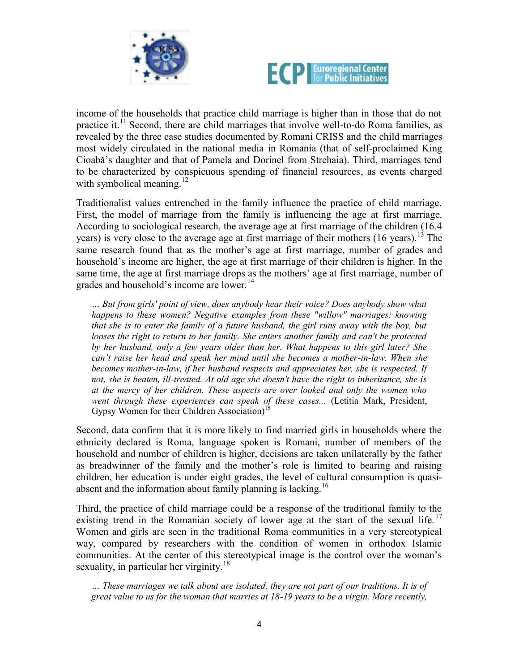



income of the households that practice child marriage is higher than in those that do not practice it.<sup>11</sup> Second, there are child marriages that involve well-to-do Roma families, as revealed by the three case studies documented by Romani CRISS and the child marriages most widely circulated in the national media in Romania (that of self-proclaimed King Cioabă's daughter and that of Pamela and Dorinel from Strehaia). Third, marriages tend to be characterized by conspicuous spending of financial resources, as events charged with symbolical meaning.<sup>12</sup>

Traditionalist values entrenched in the family influence the practice of child marriage. First, the model of marriage from the family is influencing the age at first marriage. According to sociological research, the average age at first marriage of the children (16.4 years) is very close to the average age at first marriage of their mothers  $(16 \text{ years})$ .<sup>13</sup> The same research found that as the mother's age at first marriage, number of grades and household's income are higher, the age at first marriage of their children is higher. In the same time, the age at first marriage drops as the mothers' age at first marriage, number of grades and household's income are lower.<sup>14</sup>

*… But from girls' point of view, does anybody hear their voice? Does anybody show what happens to these women? Negative examples from these "willow" marriages: knowing that she is to enter the family of a future husband, the girl runs away with the boy, but looses the right to return to her family. She enters another family and can't be protected by her husband, only a few years older than her. What happens to this girl later? She can't raise her head and speak her mind until she becomes a mother-in-law. When she becomes mother-in-law, if her husband respects and appreciates her, she is respected. If not, she is beaten, ill-treated. At old age she doesn't have the right to inheritance, she is at the mercy of her children. These aspects are over looked and only the women who went through these experiences can speak of these cases...* (Letitia Mark, President, Gypsy Women for their Children Association)<sup>1</sup>

Second, data confirm that it is more likely to find married girls in households where the ethnicity declared is Roma, language spoken is Romani, number of members of the household and number of children is higher, decisions are taken unilaterally by the father as breadwinner of the family and the mother's role is limited to bearing and raising children, her education is under eight grades, the level of cultural consumption is quasi absent and the information about family planning is lacking.<sup>16</sup>

Third, the practice of child marriage could be a response of the traditional family to the existing trend in the Romanian society of lower age at the start of the sexual life.<sup>17</sup> Women and girls are seen in the traditional Roma communities in a very stereotypical way, compared by researchers with the condition of women in orthodox Islamic communities. At the center of this stereotypical image is the control over the woman's sexuality, in particular her virginity.<sup>18</sup>

*… These marriages we talk about are isolated, they are not part of our traditions. It is of great value to us for the woman that marries at 18-19 years to be a virgin. More recently,*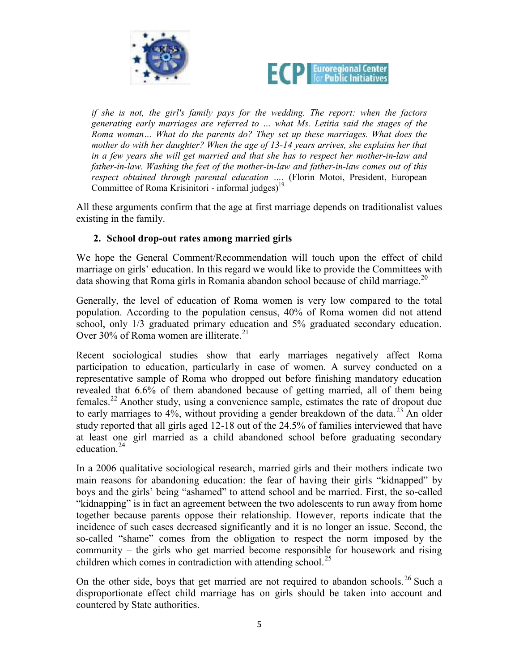



*if she is not, the girl's family pays for the wedding. The report: when the factors generating early marriages are referred to … what Ms. Letitia said the stages of the Roma woman… What do the parents do? They set up these marriages. What does the mother do with her daughter? When the age of 13-14 years arrives, she explains her that in a few years she will get married and that she has to respect her mother-in-law and father-in-law. Washing the feet of the mother-in-law and father-in-law comes out of this respect obtained through parental education ….* (Florin Motoi, President, European Committee of Roma Krisinitori - informal judges)<sup>1</sup>

All these arguments confirm that the age at first marriage depends on traditionalist values existing in the family.

## **2. School drop-out rates among married girls**

We hope the General Comment/Recommendation will touch upon the effect of child marriage on girls' education. In this regard we would like to provide the Committees with data showing that Roma girls in Romania abandon school because of child marriage.<sup>20</sup>

Generally, the level of education of Roma women is very low compared to the total population. According to the population census, 40% of Roma women did not attend school, only 1/3 graduated primary education and 5% graduated secondary education. Over 30% of Roma women are illiterate.<sup>21</sup>

Recent sociological studies show that early marriages negatively affect Roma participation to education, particularly in case of women. A survey conducted on a representative sample of Roma who dropped out before finishing mandatory education revealed that 6.6% of them abandoned because of getting married, all of them being females.<sup>22</sup> Another study, using a convenience sample, estimates the rate of dropout due to early marriages to 4%, without providing a gender breakdown of the data.<sup>23</sup> An older study reported that all girls aged 12-18 out of the 24.5% of families interviewed that have at least one girl married as a child abandoned school before graduating secondary education.<sup>24</sup>

In a 2006 qualitative sociological research, married girls and their mothers indicate two main reasons for abandoning education: the fear of having their girls "kidnapped" by boys and the girls' being "ashamed" to attend school and be married. First, the so-called "kidnapping" is in fact an agreement between the two adolescents to run away from home together because parents oppose their relationship. However, reports indicate that the incidence of such cases decreased significantly and it is no longer an issue. Second, the so-called "shame" comes from the obligation to respect the norm imposed by the community – the girls who get married become responsible for housework and rising children which comes in contradiction with attending school.<sup>25</sup>

On the other side, boys that get married are not required to abandon schools.<sup>26</sup> Such a disproportionate effect child marriage has on girls should be taken into account and countered by State authorities.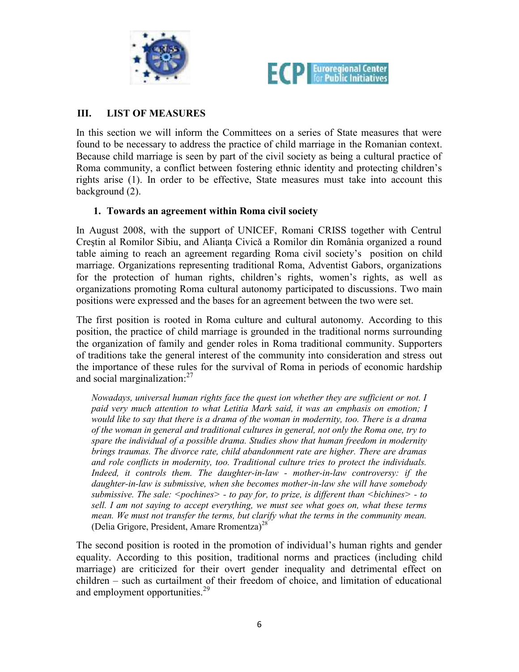



# **III. LIST OF MEASURES**

In this section we will inform the Committees on a series of State measures that were found to be necessary to address the practice of child marriage in the Romanian context. Because child marriage is seen by part of the civil society as being a cultural practice of Roma community, a conflict between fostering ethnic identity and protecting children's rights arise (1). In order to be effective, State measures must take into account this background (2).

### **1. Towards an agreement within Roma civil society**

In August 2008, with the support of UNICEF, Romani CRISS together with Centrul Creştin al Romilor Sibiu, and Alianţa Civicǎ a Romilor din România organized a round table aiming to reach an agreement regarding Roma civil society's position on child marriage. Organizations representing traditional Roma, Adventist Gabors, organizations for the protection of human rights, children's rights, women's rights, as well as organizations promoting Roma cultural autonomy participated to discussions. Two main positions were expressed and the bases for an agreement between the two were set.

The first position is rooted in Roma culture and cultural autonomy. According to this position, the practice of child marriage is grounded in the traditional norms surrounding the organization of family and gender roles in Roma traditional community. Supporters of traditions take the general interest of the community into consideration and stress out the importance of these rules for the survival of Roma in periods of economic hardship and social marginalization: $27$ 

*Nowadays, universal human rights face the quest ion whether they are sufficient or not. I paid very much attention to what Letitia Mark said, it was an emphasis on emotion; I would like to say that there is a drama of the woman in modernity, too. There is a drama of the woman in general and traditional cultures in general, not only the Roma one, try to spare the individual of a possible drama. Studies show that human freedom in modernity brings traumas. The divorce rate, child abandonment rate are higher. There are dramas and role conflicts in modernity, too. Traditional culture tries to protect the individuals. Indeed, it controls them. The daughter-in-law - mother-in-law controversy: if the daughter-in-law is submissive, when she becomes mother-in-law she will have somebody submissive. The sale: <pochines> - to pay for, to prize, is different than <bichines> - to sell. I am not saying to accept everything, we must see what goes on, what these terms mean. We must not transfer the terms, but clarify what the terms in the community mean.* (Delia Grigore, President, Amare Rromentza)<sup>28</sup>

The second position is rooted in the promotion of individual's human rights and gender equality. According to this position, traditional norms and practices (including child marriage) are criticized for their overt gender inequality and detrimental effect on children – such as curtailment of their freedom of choice, and limitation of educational and employment opportunities.<sup>29</sup>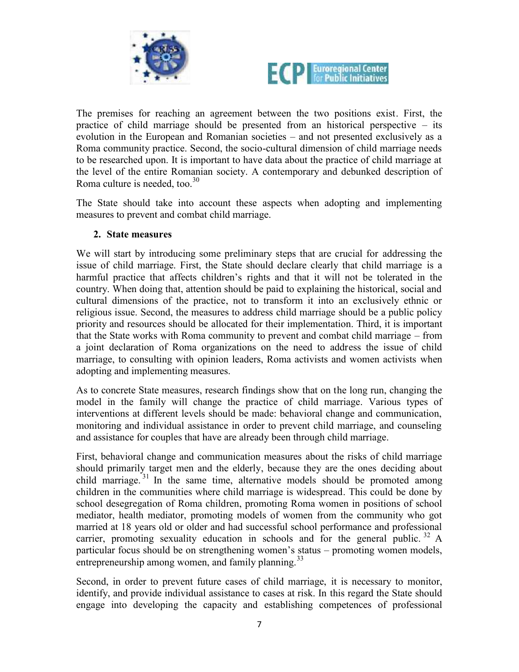



The premises for reaching an agreement between the two positions exist. First, the practice of child marriage should be presented from an historical perspective – its evolution in the European and Romanian societies – and not presented exclusively as a Roma community practice. Second, the socio-cultural dimension of child marriage needs to be researched upon. It is important to have data about the practice of child marriage at the level of the entire Romanian society. A contemporary and debunked description of Roma culture is needed, too.<sup>30</sup>

The State should take into account these aspects when adopting and implementing measures to prevent and combat child marriage.

### **2. State measures**

We will start by introducing some preliminary steps that are crucial for addressing the issue of child marriage. First, the State should declare clearly that child marriage is a harmful practice that affects children's rights and that it will not be tolerated in the country. When doing that, attention should be paid to explaining the historical, social and cultural dimensions of the practice, not to transform it into an exclusively ethnic or religious issue. Second, the measures to address child marriage should be a public policy priority and resources should be allocated for their implementation. Third, it is important that the State works with Roma community to prevent and combat child marriage – from a joint declaration of Roma organizations on the need to address the issue of child marriage, to consulting with opinion leaders, Roma activists and women activists when adopting and implementing measures.

As to concrete State measures, research findings show that on the long run, changing the model in the family will change the practice of child marriage. Various types of interventions at different levels should be made: behavioral change and communication, monitoring and individual assistance in order to prevent child marriage, and counseling and assistance for couples that have are already been through child marriage.

First, behavioral change and communication measures about the risks of child marriage should primarily target men and the elderly, because they are the ones deciding about child marriage.<sup>31</sup> In the same time, alternative models should be promoted among children in the communities where child marriage is widespread. This could be done by school desegregation of Roma children, promoting Roma women in positions of school mediator, health mediator, promoting models of women from the community who got married at 18 years old or older and had successful school performance and professional carrier, promoting sexuality education in schools and for the general public.  $32$  A particular focus should be on strengthening women's status – promoting women models, entrepreneurship among women, and family planning.<sup>33</sup>

Second, in order to prevent future cases of child marriage, it is necessary to monitor, identify, and provide individual assistance to cases at risk. In this regard the State should engage into developing the capacity and establishing competences of professional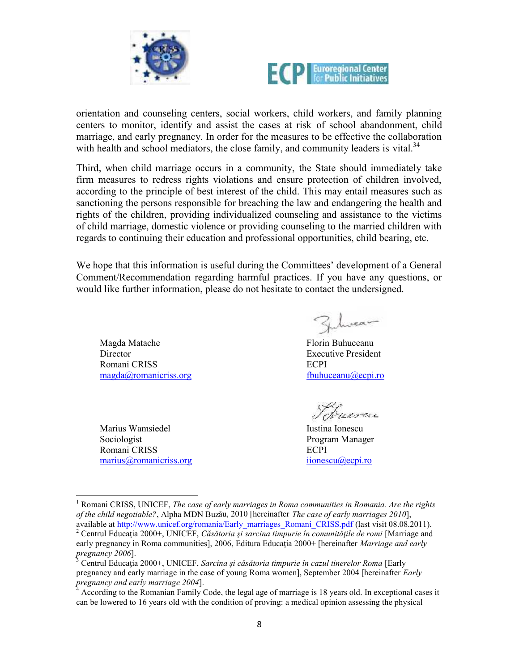



orientation and counseling centers, social workers, child workers, and family planning centers to monitor, identify and assist the cases at risk of school abandonment, child marriage, and early pregnancy. In order for the measures to be effective the collaboration with health and school mediators, the close family, and community leaders is vital.<sup>34</sup>

Third, when child marriage occurs in a community, the State should immediately take firm measures to redress rights violations and ensure protection of children involved, according to the principle of best interest of the child. This may entail measures such as sanctioning the persons responsible for breaching the law and endangering the health and rights of the children, providing individualized counseling and assistance to the victims of child marriage, domestic violence or providing counseling to the married children with regards to continuing their education and professional opportunities, child bearing, etc.

We hope that this information is useful during the Committees' development of a General Comment/Recommendation regarding harmful practices. If you have any questions, or would like further information, please do not hesitate to contact the undersigned.

Magda Matache Director Romani CRISS magda@romanicriss.org

Marius Wamsiedel Sociologist Romani CRISS marius@romanicriss.org

Zhrea

Florin Buhuceanu Executive President ECPI fbuhuceanu@ecpi.ro

Iustina Ionescu Program Manager ECPI iionescu@ecpi.ro

<sup>1</sup> Romani CRISS, UNICEF, *The case of early marriages in Roma communities in Romania. Are the rights of the child negotiable?*, Alpha MDN Buzǎu, 2010 [hereinafter *The case of early marriages 2010*],

<sup>&</sup>lt;sup>2</sup> Centrul Educația 2000+, UNICEF, *Căsătoria și sarcina timpurie în comunitățile de romi* [Marriage and early pregnancy in Roma communities], 2006, Editura Educaţia 2000+ [hereinafter *Marriage and early pregnancy 2006*].

<sup>3</sup> Centrul Educaţia 2000+, UNICEF, *Sarcina şi cǎsǎtoria timpurie în cazul tinerelor Roma* [Early pregnancy and early marriage in the case of young Roma women], September 2004 [hereinafter *Early* pregnancy and early marriage 2004].

*pregnancy and early marriage 2004*]. <sup>4</sup> According to the Romanian Family Code, the legal age of marriage is 18 years old. In exceptional cases it can be lowered to 16 years old with the condition of proving: a medical opinion assessing the physical